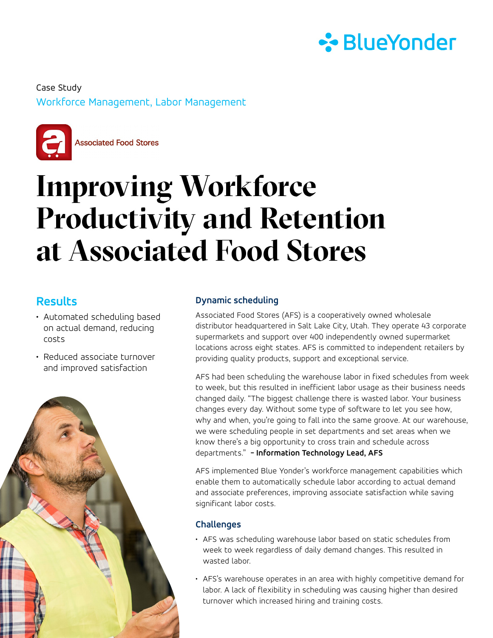

Workforce Management, Labor Management Case Study



**Associated Food Stores** 

# **Improving Workforce Productivity and Retention at Associated Food Stores**

### **Results**

- Automated scheduling based on actual demand, reducing costs
- Reduced associate turnover and improved satisfaction



#### **Dynamic scheduling**

Associated Food Stores (AFS) is a cooperatively owned wholesale distributor headquartered in Salt Lake City, Utah. They operate 43 corporate supermarkets and support over 400 independently owned supermarket locations across eight states. AFS is committed to independent retailers by providing quality products, support and exceptional service.

AFS had been scheduling the warehouse labor in fixed schedules from week to week, but this resulted in inefficient labor usage as their business needs changed daily. "The biggest challenge there is wasted labor. Your business changes every day. Without some type of software to let you see how, why and when, you're going to fall into the same groove. At our warehouse, we were scheduling people in set departments and set areas when we know there's a big opportunity to cross train and schedule across departments." **- Information Technology Lead, AFS**

AFS implemented Blue Yonder's workforce management capabilities which enable them to automatically schedule labor according to actual demand and associate preferences, improving associate satisfaction while saving significant labor costs.

#### **Challenges**

- AFS was scheduling warehouse labor based on static schedules from week to week regardless of daily demand changes. This resulted in wasted labor.
- AFS's warehouse operates in an area with highly competitive demand for labor. A lack of flexibility in scheduling was causing higher than desired turnover which increased hiring and training costs.